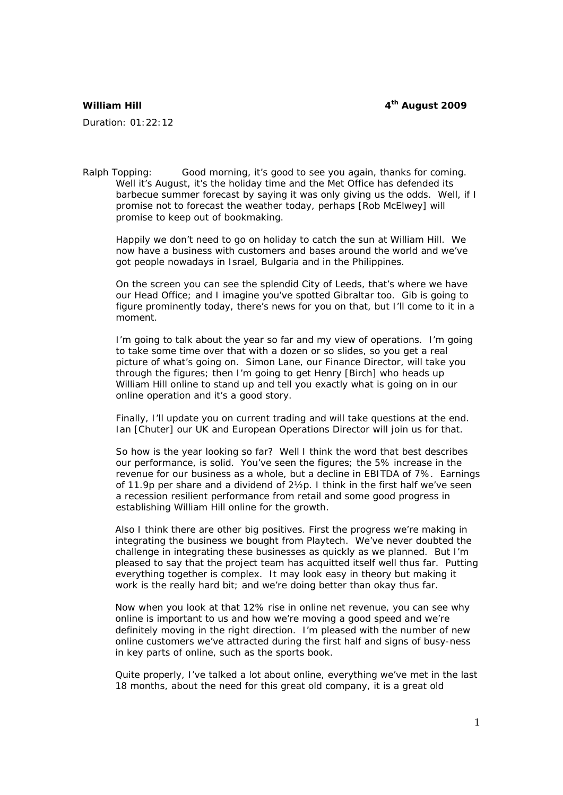## **William Hill William Hill Allows** 2009 *A***<sup>th</sup> August 2009**

Duration: 01:22:12

Ralph Topping: Good morning, it's good to see you again, thanks for coming. Well it's August, it's the holiday time and the Met Office has defended its barbecue summer forecast by saying it was only giving us the odds. Well, if I promise not to forecast the weather today, perhaps [Rob McElwey] will promise to keep out of bookmaking.

 Happily we don't need to go on holiday to catch the sun at William Hill. We now have a business with customers and bases around the world and we've got people nowadays in Israel, Bulgaria and in the Philippines.

 On the screen you can see the splendid City of Leeds, that's where we have our Head Office; and I imagine you've spotted Gibraltar too. Gib is going to figure prominently today, there's news for you on that, but I'll come to it in a moment.

 I'm going to talk about the year so far and my view of operations. I'm going to take some time over that with a dozen or so slides, so you get a real picture of what's going on. Simon Lane, our Finance Director, will take you through the figures; then I'm going to get Henry [Birch] who heads up William Hill online to stand up and tell you exactly what is going on in our online operation and it's a good story.

 Finally, I'll update you on current trading and will take questions at the end. Ian [Chuter] our UK and European Operations Director will join us for that.

 So how is the year looking so far? Well I think the word that best describes our performance, is solid. You've seen the figures; the 5% increase in the revenue for our business as a whole, but a decline in EBITDA of 7%. Earnings of 11.9p per share and a dividend of 2½p. I think in the first half we've seen a recession resilient performance from retail and some good progress in establishing William Hill online for the growth.

 Also I think there are other big positives. First the progress we're making in integrating the business we bought from Playtech. We've never doubted the challenge in integrating these businesses as quickly as we planned. But I'm pleased to say that the project team has acquitted itself well thus far. Putting everything together is complex. It may look easy in theory but making it work is the really hard bit; and we're doing better than okay thus far.

 Now when you look at that 12% rise in online net revenue, you can see why online is important to us and how we're moving a good speed and we're definitely moving in the right direction. I'm pleased with the number of new online customers we've attracted during the first half and signs of busy-ness in key parts of online, such as the sports book.

 Quite properly, I've talked a lot about online, everything we've met in the last 18 months, about the need for this great old company, it is a great old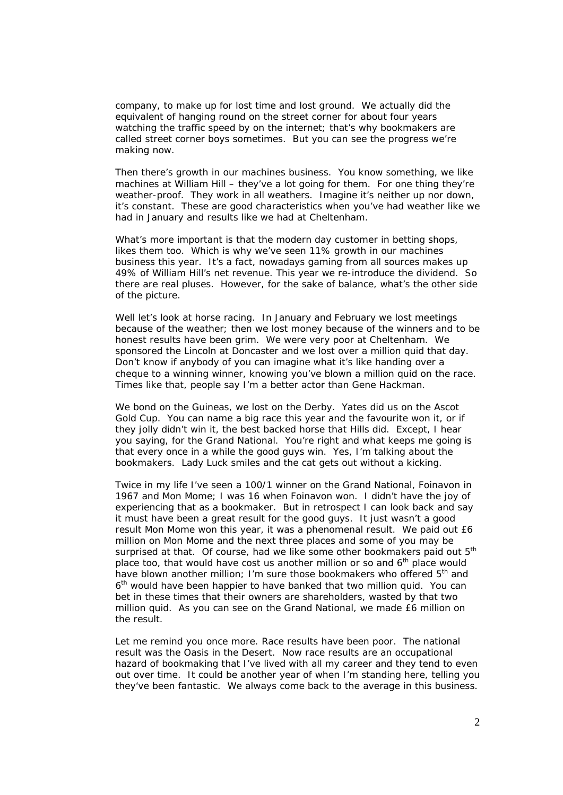company, to make up for lost time and lost ground. We actually did the equivalent of hanging round on the street corner for about four years watching the traffic speed by on the internet; that's why bookmakers are called street corner boys sometimes. But you can see the progress we're making now.

 Then there's growth in our machines business. You know something, we like machines at William Hill – they've a lot going for them. For one thing they're weather-proof. They work in all weathers. Imagine it's neither up nor down, it's constant. These are good characteristics when you've had weather like we had in January and results like we had at Cheltenham.

 What's more important is that the modern day customer in betting shops, likes them too. Which is why we've seen 11% growth in our machines business this year. It's a fact, nowadays gaming from all sources makes up 49% of William Hill's net revenue. This year we re-introduce the dividend. So there are real pluses. However, for the sake of balance, what's the other side of the picture.

 Well let's look at horse racing. In January and February we lost meetings because of the weather; then we lost money because of the winners and to be honest results have been grim. We were very poor at Cheltenham. We sponsored the Lincoln at Doncaster and we lost over a million quid that day. Don't know if anybody of you can imagine what it's like handing over a cheque to a winning winner, knowing you've blown a million quid on the race. Times like that, people say I'm a better actor than Gene Hackman.

 We bond on the Guineas, we lost on the Derby. Yates did us on the Ascot Gold Cup. You can name a big race this year and the favourite won it, or if they jolly didn't win it, the best backed horse that Hills did. Except, I hear you saying, for the Grand National. You're right and what keeps me going is that every once in a while the good guys win. Yes, I'm talking about the bookmakers. Lady Luck smiles and the cat gets out without a kicking.

 Twice in my life I've seen a 100/1 winner on the Grand National, Foinavon in 1967 and Mon Mome; I was 16 when Foinavon won. I didn't have the joy of experiencing that as a bookmaker. But in retrospect I can look back and say it must have been a great result for the good guys. It just wasn't a good result Mon Mome won this year, it was a phenomenal result. We paid out £6 million on Mon Mome and the next three places and some of you may be surprised at that. Of course, had we like some other bookmakers paid out 5<sup>th</sup> place too, that would have cost us another million or so and  $6<sup>th</sup>$  place would have blown another million; I'm sure those bookmakers who offered 5<sup>th</sup> and 6th would have been happier to have banked that two million quid. You can bet in these times that their owners are shareholders, wasted by that two million quid. As you can see on the Grand National, we made £6 million on the result.

 Let me remind you once more. Race results have been poor. The national result was the Oasis in the Desert. Now race results are an occupational hazard of bookmaking that I've lived with all my career and they tend to even out over time. It could be another year of when I'm standing here, telling you they've been fantastic. We always come back to the average in this business.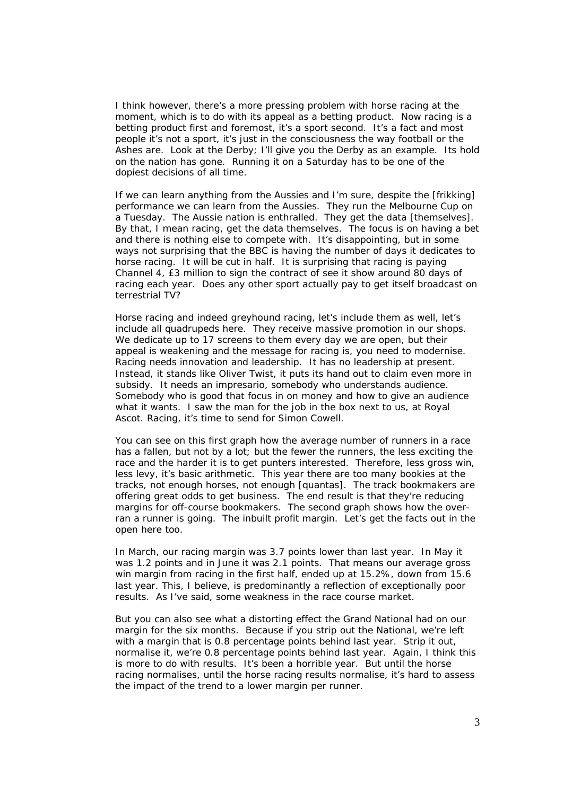I think however, there's a more pressing problem with horse racing at the moment, which is to do with its appeal as a betting product. Now racing is a betting product first and foremost, it's a sport second. It's a fact and most people it's not a sport, it's just in the consciousness the way football or the Ashes are. Look at the Derby; I'll give you the Derby as an example. Its hold on the nation has gone. Running it on a Saturday has to be one of the dopiest decisions of all time.

 If we can learn anything from the Aussies and I'm sure, despite the [frikking] performance we can learn from the Aussies. They run the Melbourne Cup on a Tuesday. The Aussie nation is enthralled. They get the data [themselves]. By that, I mean racing, get the data themselves. The focus is on having a bet and there is nothing else to compete with. It's disappointing, but in some ways not surprising that the BBC is having the number of days it dedicates to horse racing. It will be cut in half. It is surprising that racing is paying Channel 4, £3 million to sign the contract of see it show around 80 days of racing each year. Does any other sport actually pay to get itself broadcast on terrestrial TV?

 Horse racing and indeed greyhound racing, let's include them as well, let's include all quadrupeds here. They receive massive promotion in our shops. We dedicate up to 17 screens to them every day we are open, but their appeal is weakening and the message for racing is, you need to modernise. Racing needs innovation and leadership. It has no leadership at present. Instead, it stands like Oliver Twist, it puts its hand out to claim even more in subsidy. It needs an impresario, somebody who understands audience. Somebody who is good that focus in on money and how to give an audience what it wants. I saw the man for the job in the box next to us, at Royal Ascot. Racing, it's time to send for Simon Cowell.

 You can see on this first graph how the average number of runners in a race has a fallen, but not by a lot; but the fewer the runners, the less exciting the race and the harder it is to get punters interested. Therefore, less gross win, less levy, it's basic arithmetic. This year there are too many bookies at the tracks, not enough horses, not enough [quantas]. The track bookmakers are offering great odds to get business. The end result is that they're reducing margins for off-course bookmakers. The second graph shows how the overran a runner is going. The inbuilt profit margin. Let's get the facts out in the open here too.

 In March, our racing margin was 3.7 points lower than last year. In May it was 1.2 points and in June it was 2.1 points. That means our average gross win margin from racing in the first half, ended up at 15.2%, down from 15.6 last year. This, I believe, is predominantly a reflection of exceptionally poor results. As I've said, some weakness in the race course market.

 But you can also see what a distorting effect the Grand National had on our margin for the six months. Because if you strip out the National, we're left with a margin that is 0.8 percentage points behind last year. Strip it out, normalise it, we're 0.8 percentage points behind last year. Again, I think this is more to do with results. It's been a horrible year. But until the horse racing normalises, until the horse racing results normalise, it's hard to assess the impact of the trend to a lower margin per runner.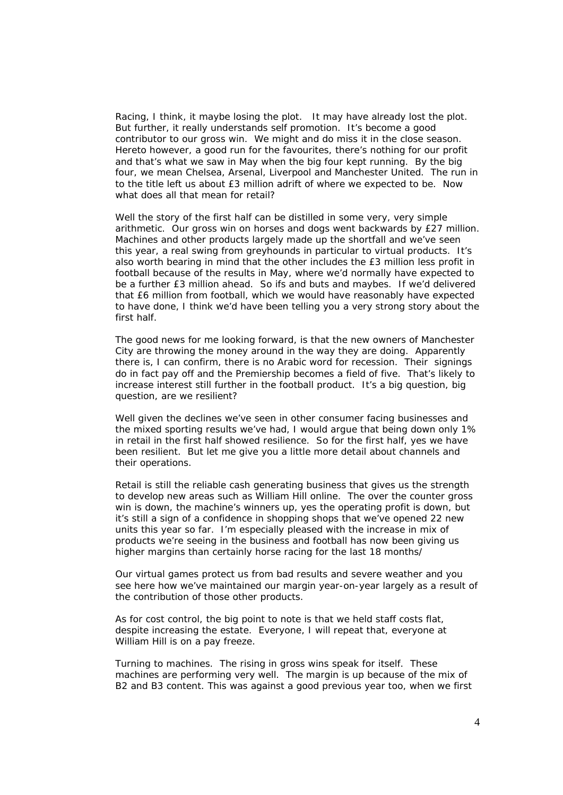Racing, I think, it maybe losing the plot. It may have already lost the plot. But further, it really understands self promotion. It's become a good contributor to our gross win. We might and do miss it in the close season. Hereto however, a good run for the favourites, there's nothing for our profit and that's what we saw in May when the big four kept running. By the big four, we mean Chelsea, Arsenal, Liverpool and Manchester United. The run in to the title left us about £3 million adrift of where we expected to be. Now what does all that mean for retail?

 Well the story of the first half can be distilled in some very, very simple arithmetic. Our gross win on horses and dogs went backwards by £27 million. Machines and other products largely made up the shortfall and we've seen this year, a real swing from greyhounds in particular to virtual products. It's also worth bearing in mind that the other includes the £3 million less profit in football because of the results in May, where we'd normally have expected to be a further £3 million ahead. So ifs and buts and maybes. If we'd delivered that £6 million from football, which we would have reasonably have expected to have done, I think we'd have been telling you a very strong story about the first half.

 The good news for me looking forward, is that the new owners of Manchester City are throwing the money around in the way they are doing. Apparently there is, I can confirm, there is no Arabic word for recession. Their signings do in fact pay off and the Premiership becomes a field of five. That's likely to increase interest still further in the football product. It's a big question, big question, are we resilient?

 Well given the declines we've seen in other consumer facing businesses and the mixed sporting results we've had, I would argue that being down only 1% in retail in the first half showed resilience. So for the first half, yes we have been resilient. But let me give you a little more detail about channels and their operations.

 Retail is still the reliable cash generating business that gives us the strength to develop new areas such as William Hill online. The over the counter gross win is down, the machine's winners up, yes the operating profit is down, but it's still a sign of a confidence in shopping shops that we've opened 22 new units this year so far. I'm especially pleased with the increase in mix of products we're seeing in the business and football has now been giving us higher margins than certainly horse racing for the last 18 months/

 Our virtual games protect us from bad results and severe weather and you see here how we've maintained our margin year-on-year largely as a result of the contribution of those other products.

 As for cost control, the big point to note is that we held staff costs flat, despite increasing the estate. Everyone, I will repeat that, everyone at William Hill is on a pay freeze.

 Turning to machines. The rising in gross wins speak for itself. These machines are performing very well. The margin is up because of the mix of B2 and B3 content. This was against a good previous year too, when we first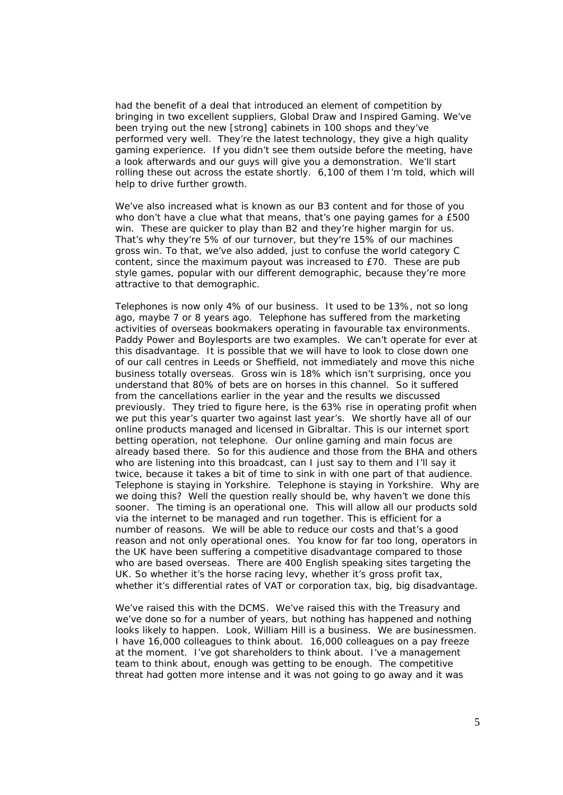had the benefit of a deal that introduced an element of competition by bringing in two excellent suppliers, Global Draw and Inspired Gaming. We've been trying out the new [strong] cabinets in 100 shops and they've performed very well. They're the latest technology, they give a high quality gaming experience. If you didn't see them outside before the meeting, have a look afterwards and our guys will give you a demonstration. We'll start rolling these out across the estate shortly. 6,100 of them I'm told, which will help to drive further growth.

 We've also increased what is known as our B3 content and for those of you who don't have a clue what that means, that's one paying games for a £500 win. These are quicker to play than B2 and they're higher margin for us. That's why they're 5% of our turnover, but they're 15% of our machines gross win. To that, we've also added, just to confuse the world category C content, since the maximum payout was increased to £70. These are pub style games, popular with our different demographic, because they're more attractive to that demographic.

 Telephones is now only 4% of our business. It used to be 13%, not so long ago, maybe 7 or 8 years ago. Telephone has suffered from the marketing activities of overseas bookmakers operating in favourable tax environments. Paddy Power and Boylesports are two examples. We can't operate for ever at this disadvantage. It is possible that we will have to look to close down one of our call centres in Leeds or Sheffield, not immediately and move this niche business totally overseas. Gross win is 18% which isn't surprising, once you understand that 80% of bets are on horses in this channel. So it suffered from the cancellations earlier in the year and the results we discussed previously. They tried to figure here, is the 63% rise in operating profit when we put this year's quarter two against last year's. We shortly have all of our online products managed and licensed in Gibraltar. This is our internet sport betting operation, not telephone. Our online gaming and main focus are already based there. So for this audience and those from the BHA and others who are listening into this broadcast, can I just say to them and I'll say it twice, because it takes a bit of time to sink in with one part of that audience. Telephone is staying in Yorkshire. Telephone is staying in Yorkshire. Why are we doing this? Well the question really should be, why haven't we done this sooner. The timing is an operational one. This will allow all our products sold via the internet to be managed and run together. This is efficient for a number of reasons. We will be able to reduce our costs and that's a good reason and not only operational ones. You know for far too long, operators in the UK have been suffering a competitive disadvantage compared to those who are based overseas. There are 400 English speaking sites targeting the UK. So whether it's the horse racing levy, whether it's gross profit tax, whether it's differential rates of VAT or corporation tax, big, big disadvantage.

 We've raised this with the DCMS. We've raised this with the Treasury and we've done so for a number of years, but nothing has happened and nothing looks likely to happen. Look, William Hill is a business. We are businessmen. I have 16,000 colleagues to think about. 16,000 colleagues on a pay freeze at the moment. I've got shareholders to think about. I've a management team to think about, enough was getting to be enough. The competitive threat had gotten more intense and it was not going to go away and it was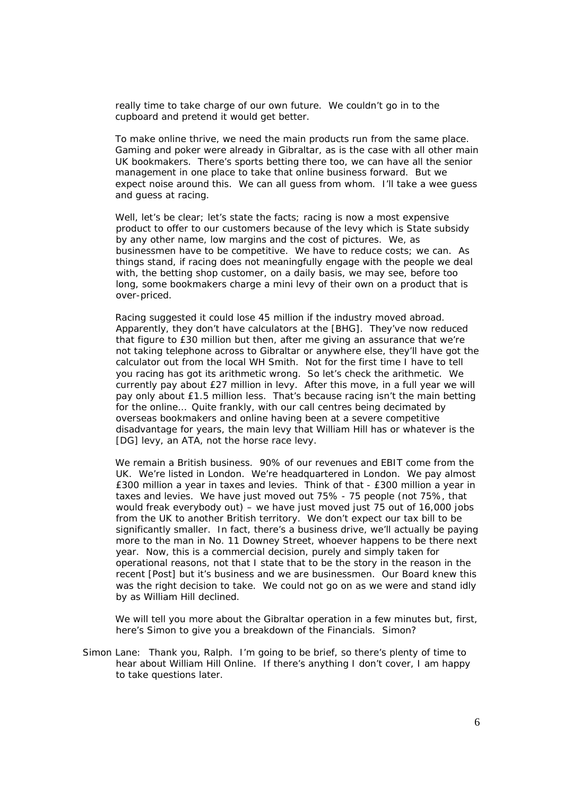really time to take charge of our own future. We couldn't go in to the cupboard and pretend it would get better.

 To make online thrive, we need the main products run from the same place. Gaming and poker were already in Gibraltar, as is the case with all other main UK bookmakers. There's sports betting there too, we can have all the senior management in one place to take that online business forward. But we expect noise around this. We can all guess from whom. I'll take a wee guess and guess at racing.

Well, let's be clear; let's state the facts; racing is now a most expensive product to offer to our customers because of the levy which is State subsidy by any other name, low margins and the cost of pictures. We, as businessmen have to be competitive. We have to reduce costs; we can. As things stand, if racing does not meaningfully engage with the people we deal with, the betting shop customer, on a daily basis, we may see, before too long, some bookmakers charge a mini levy of their own on a product that is over-priced.

Racing suggested it could lose 45 million if the industry moved abroad. Apparently, they don't have calculators at the [BHG]. They've now reduced that figure to £30 million but then, after me giving an assurance that we're not taking telephone across to Gibraltar or anywhere else, they'll have got the calculator out from the local WH Smith. Not for the first time I have to tell you racing has got its arithmetic wrong. So let's check the arithmetic. We currently pay about £27 million in levy. After this move, in a full year we will pay only about £1.5 million less. That's because racing isn't the main betting for the online… Quite frankly, with our call centres being decimated by overseas bookmakers and online having been at a severe competitive disadvantage for years, the main levy that William Hill has or whatever is the [DG] levy, an ATA, not the horse race levy.

We remain a British business. 90% of our revenues and EBIT come from the UK. We're listed in London. We're headquartered in London. We pay almost £300 million a year in taxes and levies. Think of that - £300 million a year in taxes and levies. We have just moved out 75% - 75 people (not 75%, that would freak everybody out) – we have just moved just 75 out of 16,000 jobs from the UK to another British territory. We don't expect our tax bill to be significantly smaller. In fact, there's a business drive, we'll actually be paying more to the man in No. 11 Downey Street, whoever happens to be there next year. Now, this is a commercial decision, purely and simply taken for operational reasons, not that I state that to be the story in the reason in the recent [Post] but it's business and we are businessmen. Our Board knew this was the right decision to take. We could not go on as we were and stand idly by as William Hill declined.

We will tell you more about the Gibraltar operation in a few minutes but, first, here's Simon to give you a breakdown of the Financials. Simon?

Simon Lane: Thank you, Ralph. I'm going to be brief, so there's plenty of time to hear about William Hill Online. If there's anything I don't cover, I am happy to take questions later.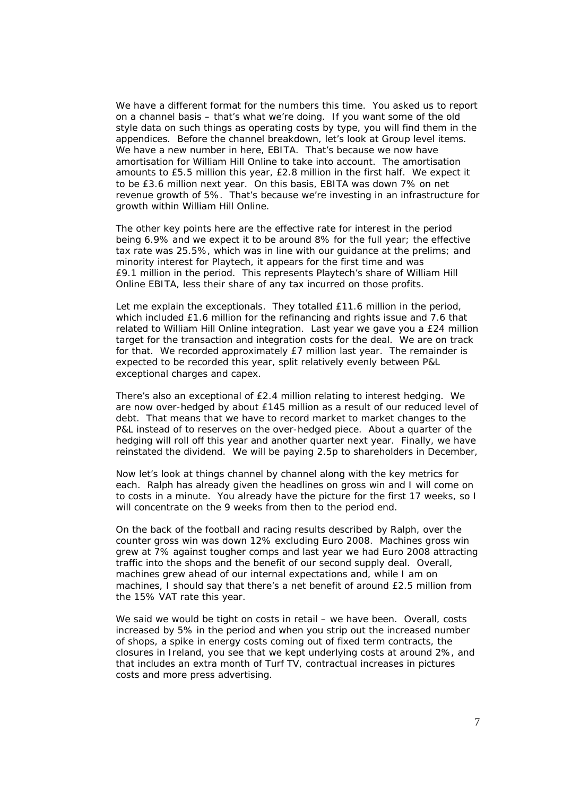We have a different format for the numbers this time. You asked us to report on a channel basis – that's what we're doing. If you want some of the old style data on such things as operating costs by type, you will find them in the appendices. Before the channel breakdown, let's look at Group level items. We have a new number in here, EBITA. That's because we now have amortisation for William Hill Online to take into account. The amortisation amounts to £5.5 million this year, £2.8 million in the first half. We expect it to be £3.6 million next year. On this basis, EBITA was down 7% on net revenue growth of 5%. That's because we're investing in an infrastructure for growth within William Hill Online.

 The other key points here are the effective rate for interest in the period being 6.9% and we expect it to be around 8% for the full year; the effective tax rate was 25.5%, which was in line with our guidance at the prelims; and minority interest for Playtech, it appears for the first time and was £9.1 million in the period. This represents Playtech's share of William Hill Online EBITA, less their share of any tax incurred on those profits.

Let me explain the exceptionals. They totalled £11.6 million in the period, which included £1.6 million for the refinancing and rights issue and 7.6 that related to William Hill Online integration. Last year we gave you a £24 million target for the transaction and integration costs for the deal. We are on track for that. We recorded approximately £7 million last year. The remainder is expected to be recorded this year, split relatively evenly between P&L exceptional charges and capex.

There's also an exceptional of £2.4 million relating to interest hedging. We are now over-hedged by about £145 million as a result of our reduced level of debt. That means that we have to record market to market changes to the P&L instead of to reserves on the over-hedged piece. About a quarter of the hedging will roll off this year and another quarter next year. Finally, we have reinstated the dividend. We will be paying 2.5p to shareholders in December,

Now let's look at things channel by channel along with the key metrics for each. Ralph has already given the headlines on gross win and I will come on to costs in a minute. You already have the picture for the first 17 weeks, so I will concentrate on the 9 weeks from then to the period end.

On the back of the football and racing results described by Ralph, over the counter gross win was down 12% excluding Euro 2008. Machines gross win grew at 7% against tougher comps and last year we had Euro 2008 attracting traffic into the shops and the benefit of our second supply deal. Overall, machines grew ahead of our internal expectations and, while I am on machines, I should say that there's a net benefit of around £2.5 million from the 15% VAT rate this year.

We said we would be tight on costs in retail – we have been. Overall, costs increased by 5% in the period and when you strip out the increased number of shops, a spike in energy costs coming out of fixed term contracts, the closures in Ireland, you see that we kept underlying costs at around 2%, and that includes an extra month of Turf TV, contractual increases in pictures costs and more press advertising.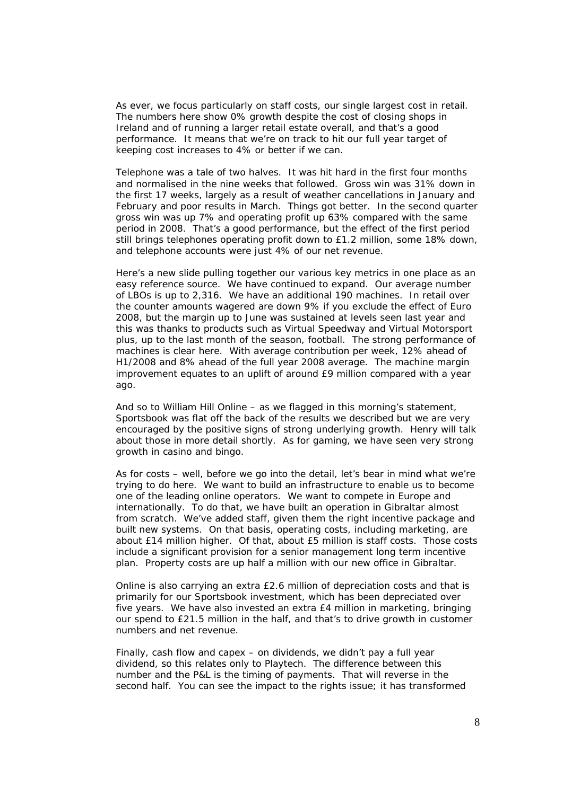As ever, we focus particularly on staff costs, our single largest cost in retail. The numbers here show 0% growth despite the cost of closing shops in Ireland and of running a larger retail estate overall, and that's a good performance. It means that we're on track to hit our full year target of keeping cost increases to 4% or better if we can.

Telephone was a tale of two halves. It was hit hard in the first four months and normalised in the nine weeks that followed. Gross win was 31% down in the first 17 weeks, largely as a result of weather cancellations in January and February and poor results in March. Things got better. In the second quarter gross win was up 7% and operating profit up 63% compared with the same period in 2008. That's a good performance, but the effect of the first period still brings telephones operating profit down to £1.2 million, some 18% down, and telephone accounts were just 4% of our net revenue.

Here's a new slide pulling together our various key metrics in one place as an easy reference source. We have continued to expand. Our average number of LBOs is up to 2,316. We have an additional 190 machines. In retail over the counter amounts wagered are down 9% if you exclude the effect of Euro 2008, but the margin up to June was sustained at levels seen last year and this was thanks to products such as Virtual Speedway and Virtual Motorsport plus, up to the last month of the season, football. The strong performance of machines is clear here. With average contribution per week, 12% ahead of H1/2008 and 8% ahead of the full year 2008 average. The machine margin improvement equates to an uplift of around £9 million compared with a year ago.

And so to William Hill Online – as we flagged in this morning's statement, Sportsbook was flat off the back of the results we described but we are very encouraged by the positive signs of strong underlying growth. Henry will talk about those in more detail shortly. As for gaming, we have seen very strong growth in casino and bingo.

As for costs – well, before we go into the detail, let's bear in mind what we're trying to do here. We want to build an infrastructure to enable us to become one of the leading online operators. We want to compete in Europe and internationally. To do that, we have built an operation in Gibraltar almost from scratch. We've added staff, given them the right incentive package and built new systems. On that basis, operating costs, including marketing, are about £14 million higher. Of that, about £5 million is staff costs. Those costs include a significant provision for a senior management long term incentive plan. Property costs are up half a million with our new office in Gibraltar.

Online is also carrying an extra £2.6 million of depreciation costs and that is primarily for our Sportsbook investment, which has been depreciated over five years. We have also invested an extra £4 million in marketing, bringing our spend to £21.5 million in the half, and that's to drive growth in customer numbers and net revenue.

Finally, cash flow and capex – on dividends, we didn't pay a full year dividend, so this relates only to Playtech. The difference between this number and the P&L is the timing of payments. That will reverse in the second half. You can see the impact to the rights issue; it has transformed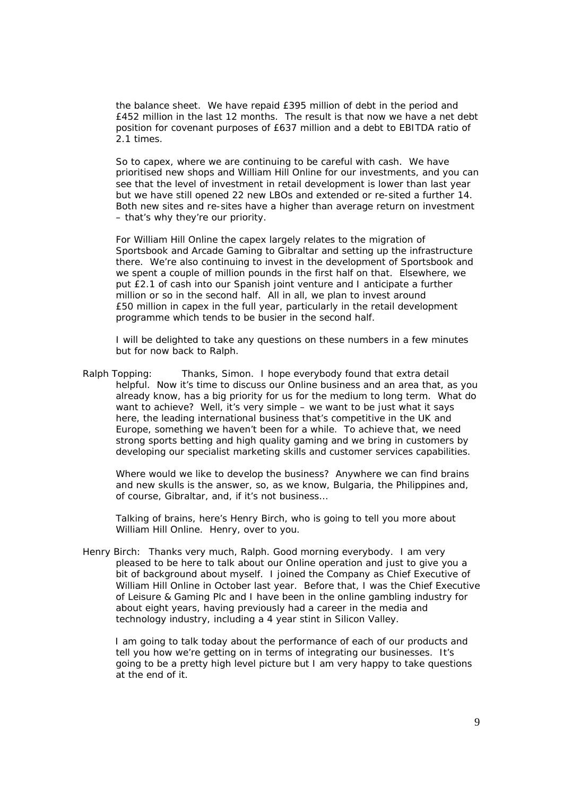the balance sheet. We have repaid £395 million of debt in the period and £452 million in the last 12 months. The result is that now we have a net debt position for covenant purposes of £637 million and a debt to EBITDA ratio of 2.1 times.

So to capex, where we are continuing to be careful with cash. We have prioritised new shops and William Hill Online for our investments, and you can see that the level of investment in retail development is lower than last year but we have still opened 22 new LBOs and extended or re-sited a further 14. Both new sites and re-sites have a higher than average return on investment – that's why they're our priority.

For William Hill Online the capex largely relates to the migration of Sportsbook and Arcade Gaming to Gibraltar and setting up the infrastructure there. We're also continuing to invest in the development of Sportsbook and we spent a couple of million pounds in the first half on that. Elsewhere, we put £2.1 of cash into our Spanish joint venture and I anticipate a further million or so in the second half. All in all, we plan to invest around £50 million in capex in the full year, particularly in the retail development programme which tends to be busier in the second half.

I will be delighted to take any questions on these numbers in a few minutes but for now back to Ralph.

Ralph Topping: Thanks, Simon. I hope everybody found that extra detail helpful. Now it's time to discuss our Online business and an area that, as you already know, has a big priority for us for the medium to long term. What do want to achieve? Well, it's very simple – we want to be just what it says here, the leading international business that's competitive in the UK and Europe, something we haven't been for a while. To achieve that, we need strong sports betting and high quality gaming and we bring in customers by developing our specialist marketing skills and customer services capabilities.

Where would we like to develop the business? Anywhere we can find brains and new skulls is the answer, so, as we know, Bulgaria, the Philippines and, of course, Gibraltar, and, if it's not business…

Talking of brains, here's Henry Birch, who is going to tell you more about William Hill Online. Henry, over to you.

Henry Birch: Thanks very much, Ralph. Good morning everybody. I am very pleased to be here to talk about our Online operation and just to give you a bit of background about myself. I joined the Company as Chief Executive of William Hill Online in October last year. Before that, I was the Chief Executive of Leisure & Gaming Plc and I have been in the online gambling industry for about eight years, having previously had a career in the media and technology industry, including a 4 year stint in Silicon Valley.

I am going to talk today about the performance of each of our products and tell you how we're getting on in terms of integrating our businesses. It's going to be a pretty high level picture but I am very happy to take questions at the end of it.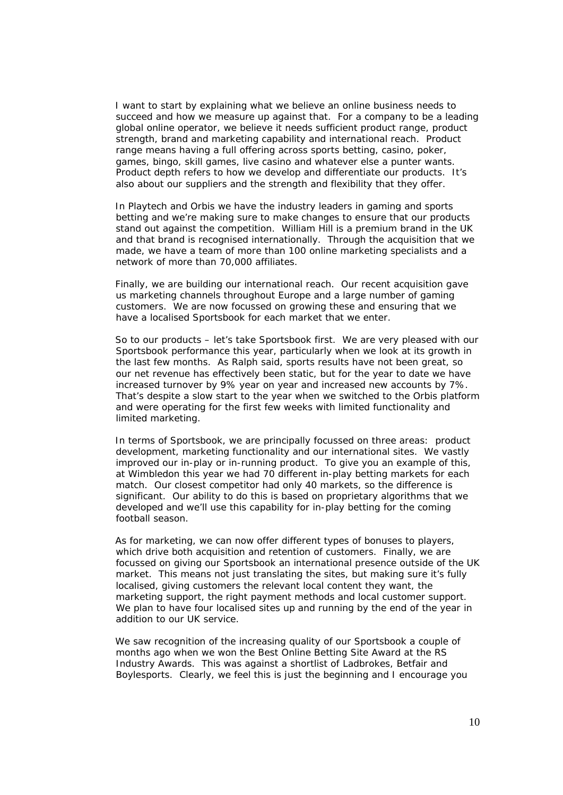I want to start by explaining what we believe an online business needs to succeed and how we measure up against that. For a company to be a leading global online operator, we believe it needs sufficient product range, product strength, brand and marketing capability and international reach. Product range means having a full offering across sports betting, casino, poker, games, bingo, skill games, live casino and whatever else a punter wants. Product depth refers to how we develop and differentiate our products. It's also about our suppliers and the strength and flexibility that they offer.

In Playtech and Orbis we have the industry leaders in gaming and sports betting and we're making sure to make changes to ensure that our products stand out against the competition. William Hill is a premium brand in the UK and that brand is recognised internationally. Through the acquisition that we made, we have a team of more than 100 online marketing specialists and a network of more than 70,000 affiliates.

Finally, we are building our international reach. Our recent acquisition gave us marketing channels throughout Europe and a large number of gaming customers. We are now focussed on growing these and ensuring that we have a localised Sportsbook for each market that we enter.

So to our products – let's take Sportsbook first. We are very pleased with our Sportsbook performance this year, particularly when we look at its growth in the last few months. As Ralph said, sports results have not been great, so our net revenue has effectively been static, but for the year to date we have increased turnover by 9% year on year and increased new accounts by 7%. That's despite a slow start to the year when we switched to the Orbis platform and were operating for the first few weeks with limited functionality and limited marketing.

In terms of Sportsbook, we are principally focussed on three areas: product development, marketing functionality and our international sites. We vastly improved our in-play or in-running product. To give you an example of this, at Wimbledon this year we had 70 different in-play betting markets for each match. Our closest competitor had only 40 markets, so the difference is significant. Our ability to do this is based on proprietary algorithms that we developed and we'll use this capability for in-play betting for the coming football season.

As for marketing, we can now offer different types of bonuses to players, which drive both acquisition and retention of customers. Finally, we are focussed on giving our Sportsbook an international presence outside of the UK market. This means not just translating the sites, but making sure it's fully localised, giving customers the relevant local content they want, the marketing support, the right payment methods and local customer support. We plan to have four localised sites up and running by the end of the year in addition to our UK service.

We saw recognition of the increasing quality of our Sportsbook a couple of months ago when we won the Best Online Betting Site Award at the RS Industry Awards. This was against a shortlist of Ladbrokes, Betfair and Boylesports. Clearly, we feel this is just the beginning and I encourage you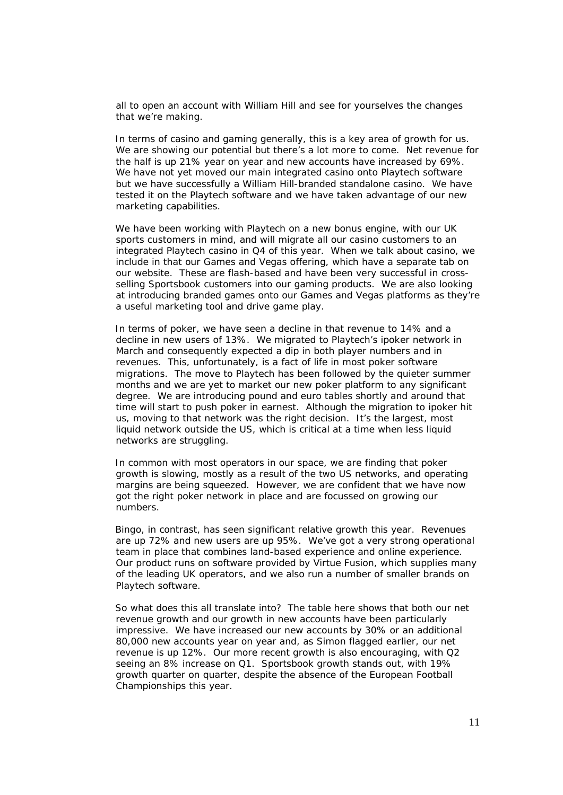all to open an account with William Hill and see for yourselves the changes that we're making.

In terms of casino and gaming generally, this is a key area of growth for us. We are showing our potential but there's a lot more to come. Net revenue for the half is up 21% year on year and new accounts have increased by 69%. We have not yet moved our main integrated casino onto Playtech software but we have successfully a William Hill-branded standalone casino. We have tested it on the Playtech software and we have taken advantage of our new marketing capabilities.

We have been working with Playtech on a new bonus engine, with our UK sports customers in mind, and will migrate all our casino customers to an integrated Playtech casino in Q4 of this year. When we talk about casino, we include in that our Games and Vegas offering, which have a separate tab on our website. These are flash-based and have been very successful in crossselling Sportsbook customers into our gaming products. We are also looking at introducing branded games onto our Games and Vegas platforms as they're a useful marketing tool and drive game play.

In terms of poker, we have seen a decline in that revenue to 14% and a decline in new users of 13%. We migrated to Playtech's ipoker network in March and consequently expected a dip in both player numbers and in revenues. This, unfortunately, is a fact of life in most poker software migrations. The move to Playtech has been followed by the quieter summer months and we are yet to market our new poker platform to any significant degree. We are introducing pound and euro tables shortly and around that time will start to push poker in earnest. Although the migration to ipoker hit us, moving to that network was the right decision. It's the largest, most liquid network outside the US, which is critical at a time when less liquid networks are struggling.

In common with most operators in our space, we are finding that poker growth is slowing, mostly as a result of the two US networks, and operating margins are being squeezed. However, we are confident that we have now got the right poker network in place and are focussed on growing our numbers.

Bingo, in contrast, has seen significant relative growth this year. Revenues are up 72% and new users are up 95%. We've got a very strong operational team in place that combines land-based experience and online experience. Our product runs on software provided by Virtue Fusion, which supplies many of the leading UK operators, and we also run a number of smaller brands on Playtech software.

So what does this all translate into? The table here shows that both our net revenue growth and our growth in new accounts have been particularly impressive. We have increased our new accounts by 30% or an additional 80,000 new accounts year on year and, as Simon flagged earlier, our net revenue is up 12%. Our more recent growth is also encouraging, with Q2 seeing an 8% increase on Q1. Sportsbook growth stands out, with 19% growth quarter on quarter, despite the absence of the European Football Championships this year.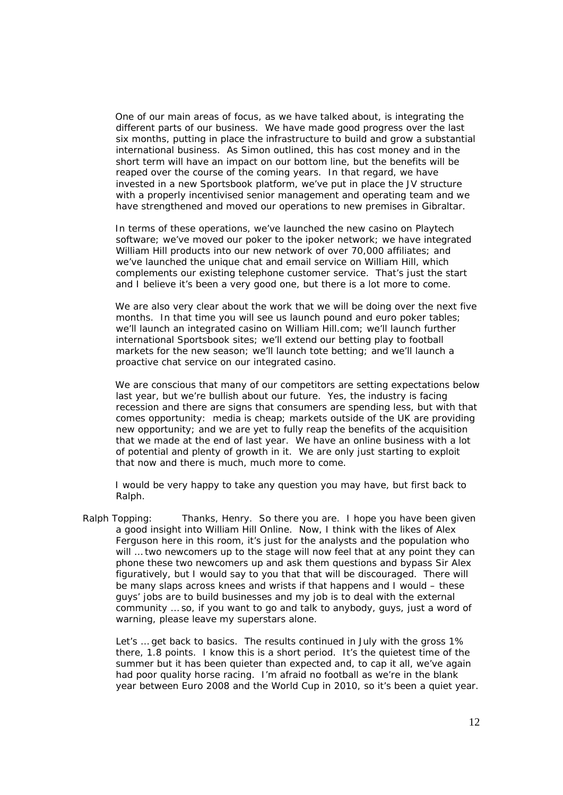One of our main areas of focus, as we have talked about, is integrating the different parts of our business. We have made good progress over the last six months, putting in place the infrastructure to build and grow a substantial international business. As Simon outlined, this has cost money and in the short term will have an impact on our bottom line, but the benefits will be reaped over the course of the coming years. In that regard, we have invested in a new Sportsbook platform, we've put in place the JV structure with a properly incentivised senior management and operating team and we have strengthened and moved our operations to new premises in Gibraltar.

In terms of these operations, we've launched the new casino on Playtech software; we've moved our poker to the ipoker network; we have integrated William Hill products into our new network of over 70,000 affiliates; and we've launched the unique chat and email service on William Hill, which complements our existing telephone customer service. That's just the start and I believe it's been a very good one, but there is a lot more to come.

We are also very clear about the work that we will be doing over the next five months. In that time you will see us launch pound and euro poker tables; we'll launch an integrated casino on William Hill.com; we'll launch further international Sportsbook sites; we'll extend our betting play to football markets for the new season; we'll launch tote betting; and we'll launch a proactive chat service on our integrated casino.

We are conscious that many of our competitors are setting expectations below last year, but we're bullish about our future. Yes, the industry is facing recession and there are signs that consumers are spending less, but with that comes opportunity: media is cheap; markets outside of the UK are providing new opportunity; and we are yet to fully reap the benefits of the acquisition that we made at the end of last year. We have an online business with a lot of potential and plenty of growth in it. We are only just starting to exploit that now and there is much, much more to come.

I would be very happy to take any question you may have, but first back to Ralph.

Ralph Topping: Thanks, Henry. So there you are. I hope you have been given a good insight into William Hill Online. Now, I think with the likes of Alex Ferguson here in this room, it's just for the analysts and the population who will … two newcomers up to the stage will now feel that at any point they can phone these two newcomers up and ask them questions and bypass Sir Alex figuratively, but I would say to you that that will be discouraged. There will be many slaps across knees and wrists if that happens and I would – these guys' jobs are to build businesses and my job is to deal with the external community … so, if you want to go and talk to anybody, guys, just a word of warning, please leave my superstars alone.

Let's ... get back to basics. The results continued in July with the gross 1% there, 1.8 points. I know this is a short period. It's the quietest time of the summer but it has been quieter than expected and, to cap it all, we've again had poor quality horse racing. I'm afraid no football as we're in the blank year between Euro 2008 and the World Cup in 2010, so it's been a quiet year.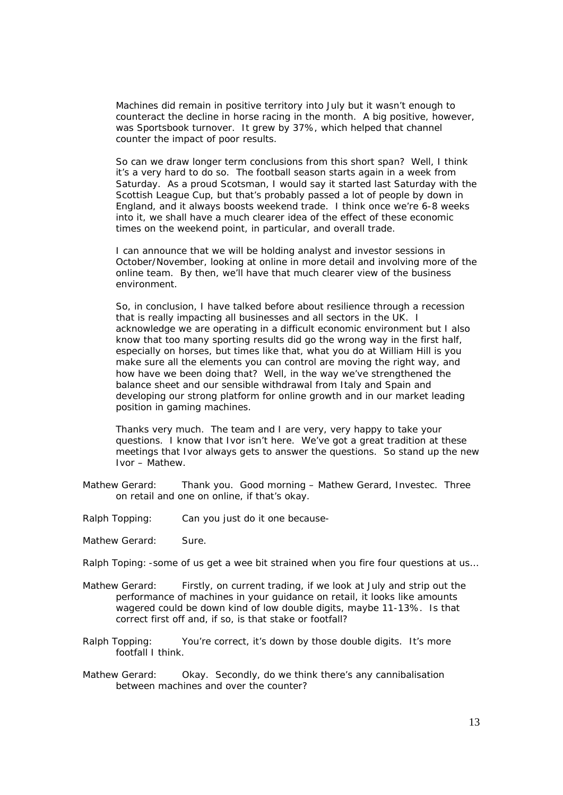Machines did remain in positive territory into July but it wasn't enough to counteract the decline in horse racing in the month. A big positive, however, was Sportsbook turnover. It grew by 37%, which helped that channel counter the impact of poor results.

 So can we draw longer term conclusions from this short span? Well, I think it's a very hard to do so. The football season starts again in a week from Saturday. As a proud Scotsman, I would say it started last Saturday with the Scottish League Cup, but that's probably passed a lot of people by down in England, and it always boosts weekend trade. I think once we're 6-8 weeks into it, we shall have a much clearer idea of the effect of these economic times on the weekend point, in particular, and overall trade.

I can announce that we will be holding analyst and investor sessions in October/November, looking at online in more detail and involving more of the online team. By then, we'll have that much clearer view of the business environment.

So, in conclusion, I have talked before about resilience through a recession that is really impacting all businesses and all sectors in the UK. I acknowledge we are operating in a difficult economic environment but I also know that too many sporting results did go the wrong way in the first half, especially on horses, but times like that, what you do at William Hill is you make sure all the elements you can control are moving the right way, and how have we been doing that? Well, in the way we've strengthened the balance sheet and our sensible withdrawal from Italy and Spain and developing our strong platform for online growth and in our market leading position in gaming machines.

Thanks very much. The team and I are very, very happy to take your questions. I know that Ivor isn't here. We've got a great tradition at these meetings that Ivor always gets to answer the questions. So stand up the new Ivor – Mathew.

- Mathew Gerard: Thank you. Good morning Mathew Gerard, Investec. Three on retail and one on online, if that's okay.
- Ralph Topping: Can you just do it one because-
- Mathew Gerard: Sure.
- Ralph Toping: -some of us get a wee bit strained when you fire four questions at us…
- Mathew Gerard: Firstly, on current trading, if we look at July and strip out the performance of machines in your guidance on retail, it looks like amounts wagered could be down kind of low double digits, maybe 11-13%. Is that correct first off and, if so, is that stake or footfall?
- Ralph Topping: You're correct, it's down by those double digits. It's more footfall I think.
- Mathew Gerard: Okay. Secondly, do we think there's any cannibalisation between machines and over the counter?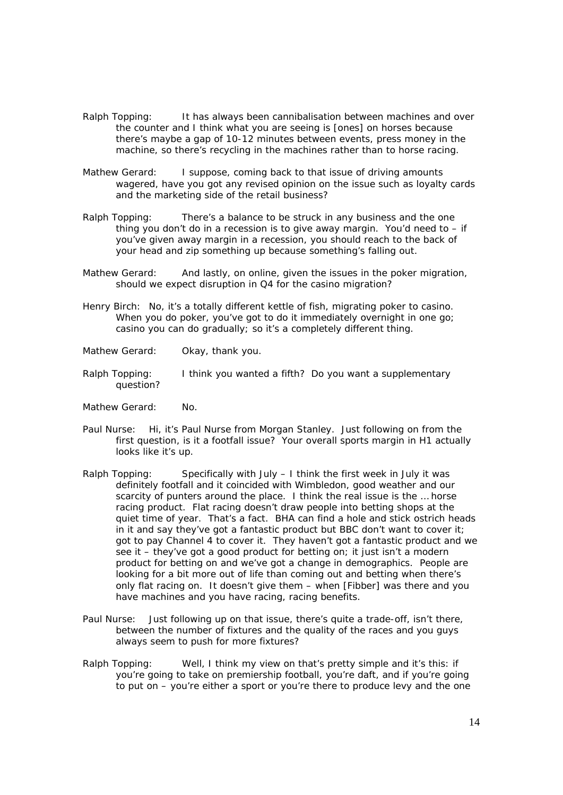- Ralph Topping: It has always been cannibalisation between machines and over the counter and I think what you are seeing is [ones] on horses because there's maybe a gap of 10-12 minutes between events, press money in the machine, so there's recycling in the machines rather than to horse racing.
- Mathew Gerard: I suppose, coming back to that issue of driving amounts wagered, have you got any revised opinion on the issue such as loyalty cards and the marketing side of the retail business?
- Ralph Topping: There's a balance to be struck in any business and the one thing you don't do in a recession is to give away margin. You'd need to  $-$  if you've given away margin in a recession, you should reach to the back of your head and zip something up because something's falling out.
- Mathew Gerard: And lastly, on online, given the issues in the poker migration, should we expect disruption in Q4 for the casino migration?
- Henry Birch: No, it's a totally different kettle of fish, migrating poker to casino. When you do poker, you've got to do it immediately overnight in one go: casino you can do gradually; so it's a completely different thing.
- Mathew Gerard: Okay, thank you.
- Ralph Topping: I think you wanted a fifth? Do you want a supplementary question?
- Mathew Gerard: No.
- Paul Nurse: Hi, it's Paul Nurse from Morgan Stanley. Just following on from the first question, is it a footfall issue? Your overall sports margin in H1 actually looks like it's up.
- Ralph Topping: Specifically with July  $-1$  think the first week in July it was definitely footfall and it coincided with Wimbledon, good weather and our scarcity of punters around the place. I think the real issue is the … horse racing product. Flat racing doesn't draw people into betting shops at the quiet time of year. That's a fact. BHA can find a hole and stick ostrich heads in it and say they've got a fantastic product but BBC don't want to cover it; got to pay Channel 4 to cover it. They haven't got a fantastic product and we see it – they've got a good product for betting on; it just isn't a modern product for betting on and we've got a change in demographics. People are looking for a bit more out of life than coming out and betting when there's only flat racing on. It doesn't give them – when [Fibber] was there and you have machines and you have racing, racing benefits.
- Paul Nurse: Just following up on that issue, there's quite a trade-off, isn't there, between the number of fixtures and the quality of the races and you guys always seem to push for more fixtures?
- Ralph Topping: Well, I think my view on that's pretty simple and it's this: if you're going to take on premiership football, you're daft, and if you're going to put on – you're either a sport or you're there to produce levy and the one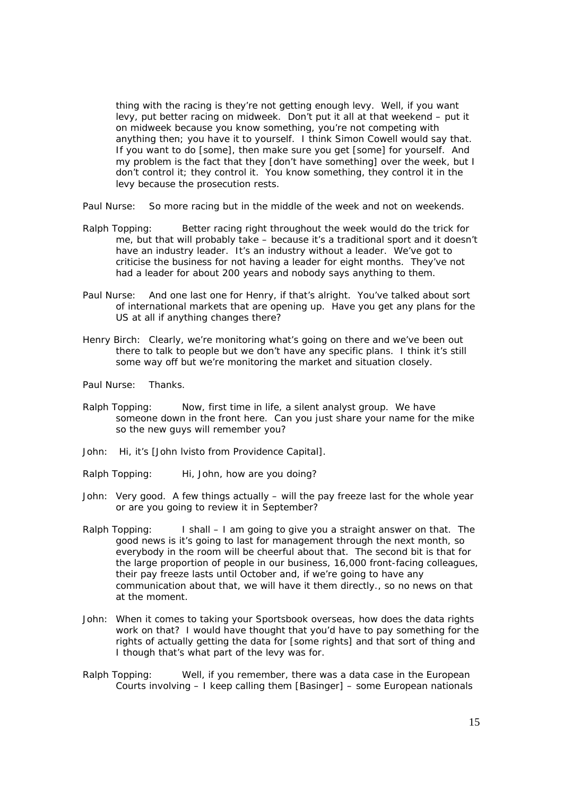thing with the racing is they're not getting enough levy. Well, if you want levy, put better racing on midweek. Don't put it all at that weekend – put it on midweek because you know something, you're not competing with anything then; you have it to yourself. I think Simon Cowell would say that. If you want to do [some], then make sure you get [some] for yourself. And my problem is the fact that they [don't have something] over the week, but I don't control it; they control it. You know something, they control it in the levy because the prosecution rests.

Paul Nurse: So more racing but in the middle of the week and not on weekends.

- Ralph Topping: Better racing right throughout the week would do the trick for me, but that will probably take – because it's a traditional sport and it doesn't have an industry leader. It's an industry without a leader. We've got to criticise the business for not having a leader for eight months. They've not had a leader for about 200 years and nobody says anything to them.
- Paul Nurse: And one last one for Henry, if that's alright. You've talked about sort of international markets that are opening up. Have you get any plans for the US at all if anything changes there?
- Henry Birch: Clearly, we're monitoring what's going on there and we've been out there to talk to people but we don't have any specific plans. I think it's still some way off but we're monitoring the market and situation closely.
- Paul Nurse: Thanks.
- Ralph Topping: Now, first time in life, a silent analyst group. We have someone down in the front here. Can you just share your name for the mike so the new guys will remember you?
- John: Hi, it's [John lvisto from Providence Capital].
- Ralph Topping: Hi, John, how are you doing?
- John: Very good. A few things actually will the pay freeze last for the whole year or are you going to review it in September?
- Ralph Topping: I shall  $-1$  am going to give you a straight answer on that. The good news is it's going to last for management through the next month, so everybody in the room will be cheerful about that. The second bit is that for the large proportion of people in our business, 16,000 front-facing colleagues, their pay freeze lasts until October and, if we're going to have any communication about that, we will have it them directly., so no news on that at the moment.
- John: When it comes to taking your Sportsbook overseas, how does the data rights work on that? I would have thought that you'd have to pay something for the rights of actually getting the data for [some rights] and that sort of thing and I though that's what part of the levy was for.
- Ralph Topping: Well, if you remember, there was a data case in the European Courts involving – I keep calling them [Basinger] – some European nationals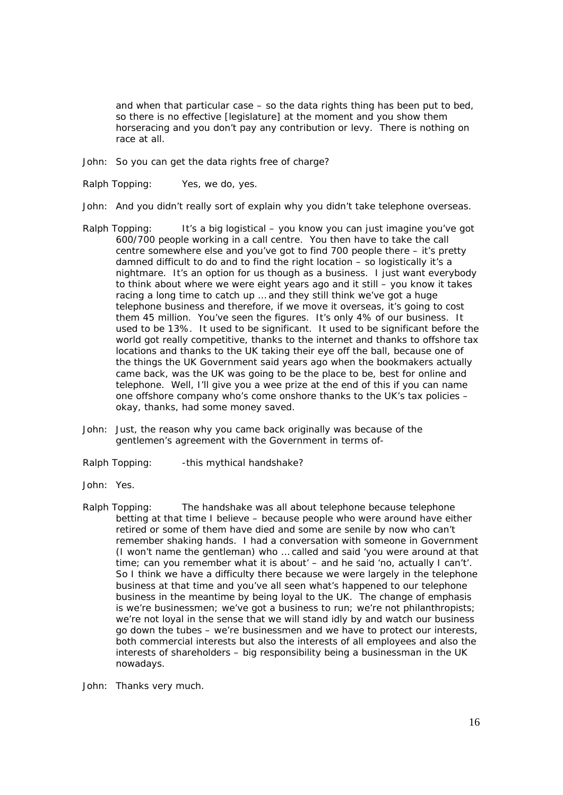and when that particular case – so the data rights thing has been put to bed, so there is no effective [legislature] at the moment and you show them horseracing and you don't pay any contribution or levy. There is nothing on race at all.

John: So you can get the data rights free of charge?

- Ralph Topping: Yes, we do, yes.
- John: And you didn't really sort of explain why you didn't take telephone overseas.
- Ralph Topping: It's a big logistical you know you can just imagine you've got 600/700 people working in a call centre. You then have to take the call centre somewhere else and you've got to find 700 people there – it's pretty damned difficult to do and to find the right location – so logistically it's a nightmare. It's an option for us though as a business. I just want everybody to think about where we were eight years ago and it still – you know it takes racing a long time to catch up … and they still think we've got a huge telephone business and therefore, if we move it overseas, it's going to cost them 45 million. You've seen the figures. It's only 4% of our business. It used to be 13%. It used to be significant. It used to be significant before the world got really competitive, thanks to the internet and thanks to offshore tax locations and thanks to the UK taking their eye off the ball, because one of the things the UK Government said years ago when the bookmakers actually came back, was the UK was going to be the place to be, best for online and telephone. Well, I'll give you a wee prize at the end of this if you can name one offshore company who's come onshore thanks to the UK's tax policies – okay, thanks, had some money saved.
- John: Just, the reason why you came back originally was because of the gentlemen's agreement with the Government in terms of-
- Ralph Topping: this mythical handshake?
- John: Yes.
- Ralph Topping: The handshake was all about telephone because telephone betting at that time I believe – because people who were around have either retired or some of them have died and some are senile by now who can't remember shaking hands. I had a conversation with someone in Government (I won't name the gentleman) who … called and said 'you were around at that time; can you remember what it is about' – and he said 'no, actually I can't'. So I think we have a difficulty there because we were largely in the telephone business at that time and you've all seen what's happened to our telephone business in the meantime by being loyal to the UK. The change of emphasis is we're businessmen; we've got a business to run; we're not philanthropists; we're not loyal in the sense that we will stand idly by and watch our business go down the tubes – we're businessmen and we have to protect our interests, both commercial interests but also the interests of all employees and also the interests of shareholders – big responsibility being a businessman in the UK nowadays.
- John: Thanks very much.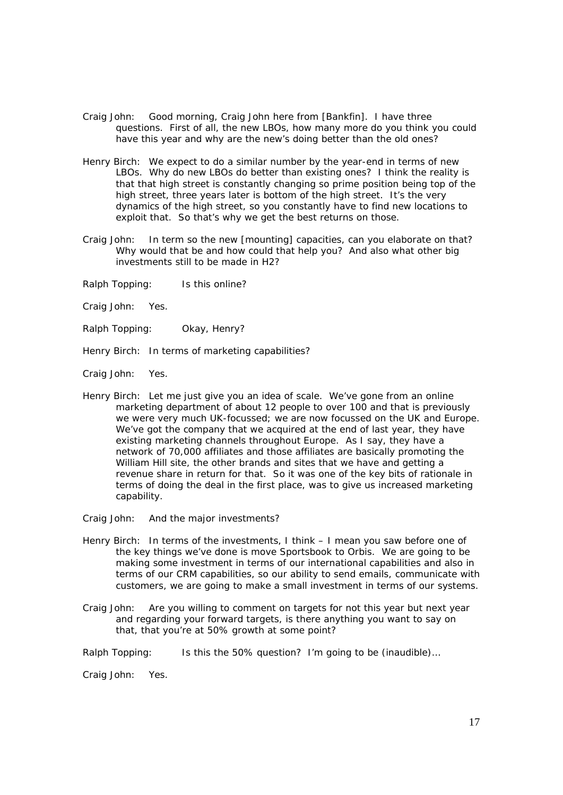- Craig John: Good morning, Craig John here from [Bankfin]. I have three questions. First of all, the new LBOs, how many more do you think you could have this year and why are the new's doing better than the old ones?
- Henry Birch: We expect to do a similar number by the year-end in terms of new LBOs. Why do new LBOs do better than existing ones? I think the reality is that that high street is constantly changing so prime position being top of the high street, three years later is bottom of the high street. It's the very dynamics of the high street, so you constantly have to find new locations to exploit that. So that's why we get the best returns on those.
- Craig John: In term so the new [mounting] capacities, can you elaborate on that? Why would that be and how could that help you? And also what other big investments still to be made in H2?
- Ralph Topping: Is this online?
- Craig John: Yes.
- Ralph Topping: Okay, Henry?
- Henry Birch: In terms of marketing capabilities?
- Craig John: Yes.
- Henry Birch: Let me just give you an idea of scale. We've gone from an online marketing department of about 12 people to over 100 and that is previously we were very much UK-focussed; we are now focussed on the UK and Europe. We've got the company that we acquired at the end of last year, they have existing marketing channels throughout Europe. As I say, they have a network of 70,000 affiliates and those affiliates are basically promoting the William Hill site, the other brands and sites that we have and getting a revenue share in return for that. So it was one of the key bits of rationale in terms of doing the deal in the first place, was to give us increased marketing capability.
- Craig John: And the major investments?
- Henry Birch: In terms of the investments, I think I mean you saw before one of the key things we've done is move Sportsbook to Orbis. We are going to be making some investment in terms of our international capabilities and also in terms of our CRM capabilities, so our ability to send emails, communicate with customers, we are going to make a small investment in terms of our systems.
- Craig John: Are you willing to comment on targets for not this year but next year and regarding your forward targets, is there anything you want to say on that, that you're at 50% growth at some point?
- Ralph Topping: Is this the 50% question? I'm going to be *(inaudible)…*

Craig John: Yes.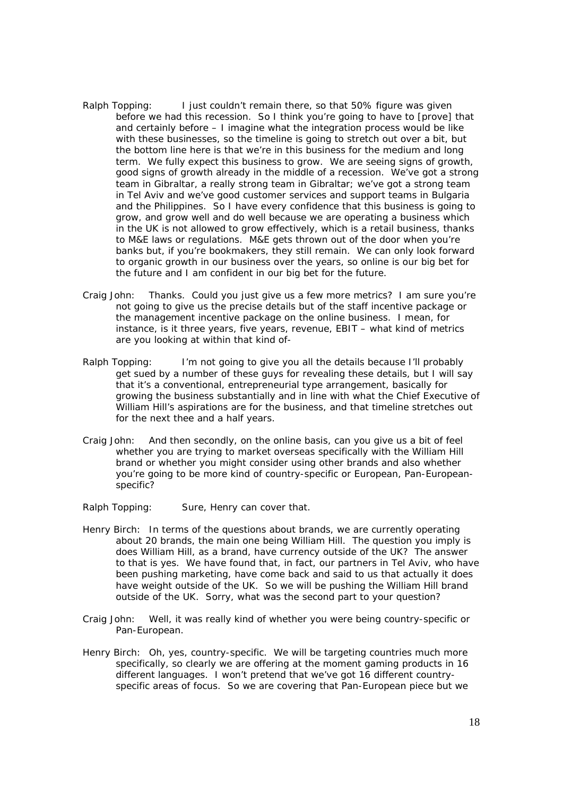- Ralph Topping: I just couldn't remain there, so that 50% figure was given before we had this recession. So I think you're going to have to [prove] that and certainly before – I imagine what the integration process would be like with these businesses, so the timeline is going to stretch out over a bit, but the bottom line here is that we're in this business for the medium and long term. We fully expect this business to grow. We are seeing signs of growth, good signs of growth already in the middle of a recession. We've got a strong team in Gibraltar, a really strong team in Gibraltar; we've got a strong team in Tel Aviv and we've good customer services and support teams in Bulgaria and the Philippines. So I have every confidence that this business is going to grow, and grow well and do well because we are operating a business which in the UK is not allowed to grow effectively, which is a retail business, thanks to M&E laws or regulations. M&E gets thrown out of the door when you're banks but, if you're bookmakers, they still remain. We can only look forward to organic growth in our business over the years, so online is our big bet for the future and I am confident in our big bet for the future.
- Craig John: Thanks. Could you just give us a few more metrics? I am sure you're not going to give us the precise details but of the staff incentive package or the management incentive package on the online business. I mean, for instance, is it three years, five years, revenue, EBIT – what kind of metrics are you looking at within that kind of-
- Ralph Topping: I'm not going to give you all the details because I'll probably get sued by a number of these guys for revealing these details, but I will say that it's a conventional, entrepreneurial type arrangement, basically for growing the business substantially and in line with what the Chief Executive of William Hill's aspirations are for the business, and that timeline stretches out for the next thee and a half years.
- Craig John: And then secondly, on the online basis, can you give us a bit of feel whether you are trying to market overseas specifically with the William Hill brand or whether you might consider using other brands and also whether you're going to be more kind of country-specific or European, Pan-Europeanspecific?
- Ralph Topping: Sure, Henry can cover that.
- Henry Birch: In terms of the questions about brands, we are currently operating about 20 brands, the main one being William Hill. The question you imply is does William Hill, as a brand, have currency outside of the UK? The answer to that is yes. We have found that, in fact, our partners in Tel Aviv, who have been pushing marketing, have come back and said to us that actually it does have weight outside of the UK. So we will be pushing the William Hill brand outside of the UK. Sorry, what was the second part to your question?
- Craig John: Well, it was really kind of whether you were being country-specific or Pan-European.
- Henry Birch: Oh, yes, country-specific. We will be targeting countries much more specifically, so clearly we are offering at the moment gaming products in 16 different languages. I won't pretend that we've got 16 different countryspecific areas of focus. So we are covering that Pan-European piece but we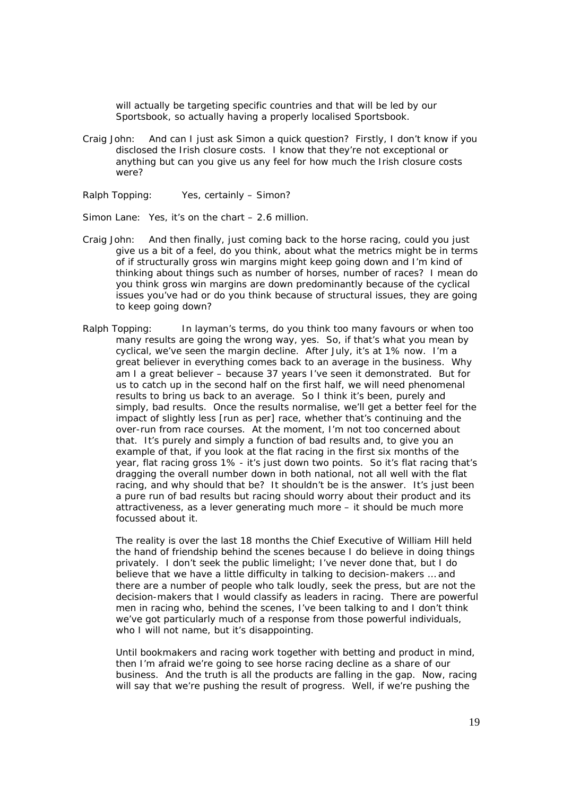will actually be targeting specific countries and that will be led by our Sportsbook, so actually having a properly localised Sportsbook.

- Craig John: And can I just ask Simon a quick question? Firstly, I don't know if you disclosed the Irish closure costs. I know that they're not exceptional or anything but can you give us any feel for how much the Irish closure costs were?
- Ralph Topping: Yes, certainly Simon?

Simon Lane: Yes, it's on the chart – 2.6 million.

- Craig John: And then finally, just coming back to the horse racing, could you just give us a bit of a feel, do you think, about what the metrics might be in terms of if structurally gross win margins might keep going down and I'm kind of thinking about things such as number of horses, number of races? I mean do you think gross win margins are down predominantly because of the cyclical issues you've had or do you think because of structural issues, they are going to keep going down?
- Ralph Topping: In layman's terms, do you think too many favours or when too many results are going the wrong way, yes. So, if that's what you mean by cyclical, we've seen the margin decline. After July, it's at 1% now. I'm a great believer in everything comes back to an average in the business. Why am I a great believer – because 37 years I've seen it demonstrated. But for us to catch up in the second half on the first half, we will need phenomenal results to bring us back to an average. So I think it's been, purely and simply, bad results. Once the results normalise, we'll get a better feel for the impact of slightly less [run as per] race, whether that's continuing and the over-run from race courses. At the moment, I'm not too concerned about that. It's purely and simply a function of bad results and, to give you an example of that, if you look at the flat racing in the first six months of the year, flat racing gross 1% - it's just down two points. So it's flat racing that's dragging the overall number down in both national, not all well with the flat racing, and why should that be? It shouldn't be is the answer. It's just been a pure run of bad results but racing should worry about their product and its attractiveness, as a lever generating much more – it should be much more focussed about it.

The reality is over the last 18 months the Chief Executive of William Hill held the hand of friendship behind the scenes because I do believe in doing things privately. I don't seek the public limelight; I've never done that, but I do believe that we have a little difficulty in talking to decision-makers … and there are a number of people who talk loudly, seek the press, but are not the decision-makers that I would classify as leaders in racing. There are powerful men in racing who, behind the scenes, I've been talking to and I don't think we've got particularly much of a response from those powerful individuals, who I will not name, but it's disappointing.

Until bookmakers and racing work together with betting and product in mind, then I'm afraid we're going to see horse racing decline as a share of our business. And the truth is all the products are falling in the gap. Now, racing will say that we're pushing the result of progress. Well, if we're pushing the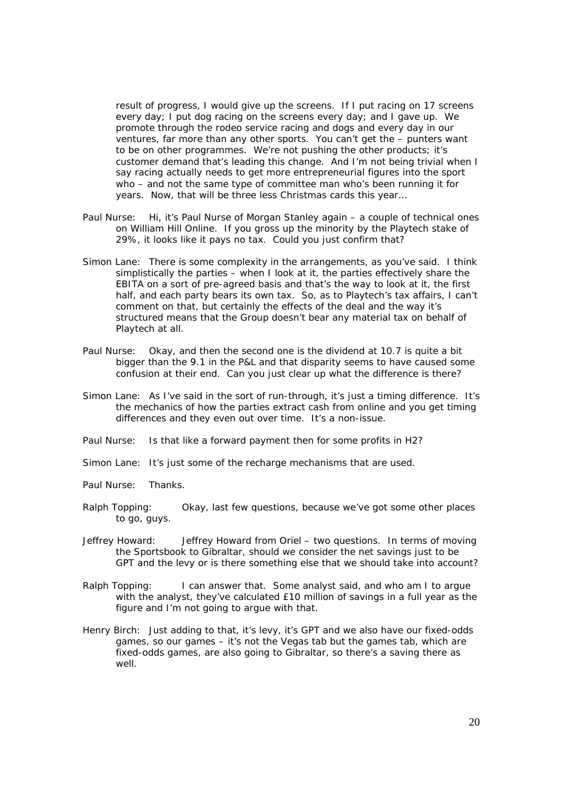result of progress, I would give up the screens. If I put racing on 17 screens every day; I put dog racing on the screens every day; and I gave up. We promote through the rodeo service racing and dogs and every day in our ventures, far more than any other sports. You can't get the – punters want to be on other programmes. We're not pushing the other products; it's customer demand that's leading this change. And I'm not being trivial when I say racing actually needs to get more entrepreneurial figures into the sport who – and not the same type of committee man who's been running it for years. Now, that will be three less Christmas cards this year…

- Paul Nurse: Hi, it's Paul Nurse of Morgan Stanley again a couple of technical ones on William Hill Online. If you gross up the minority by the Playtech stake of 29%, it looks like it pays no tax. Could you just confirm that?
- Simon Lane: There is some complexity in the arrangements, as you've said. I think simplistically the parties – when I look at it, the parties effectively share the EBITA on a sort of pre-agreed basis and that's the way to look at it, the first half, and each party bears its own tax. So, as to Playtech's tax affairs, I can't comment on that, but certainly the effects of the deal and the way it's structured means that the Group doesn't bear any material tax on behalf of Playtech at all.
- Paul Nurse: Okay, and then the second one is the dividend at 10.7 is quite a bit bigger than the 9.1 in the P&L and that disparity seems to have caused some confusion at their end. Can you just clear up what the difference is there?
- Simon Lane: As I've said in the sort of run-through, it's just a timing difference. It's the mechanics of how the parties extract cash from online and you get timing differences and they even out over time. It's a non-issue.
- Paul Nurse: Is that like a forward payment then for some profits in H2?
- Simon Lane: It's just some of the recharge mechanisms that are used.
- Paul Nurse: Thanks.
- Ralph Topping: Okay, last few questions, because we've got some other places to go, guys.
- Jeffrey Howard: Jeffrey Howard from Oriel two questions. In terms of moving the Sportsbook to Gibraltar, should we consider the net savings just to be GPT and the levy or is there something else that we should take into account?
- Ralph Topping: I can answer that. Some analyst said, and who am I to argue with the analyst, they've calculated £10 million of savings in a full year as the figure and I'm not going to argue with that.
- Henry Birch: Just adding to that, it's levy, it's GPT and we also have our fixed-odds games, so our games – it's not the Vegas tab but the games tab, which are fixed-odds games, are also going to Gibraltar, so there's a saving there as well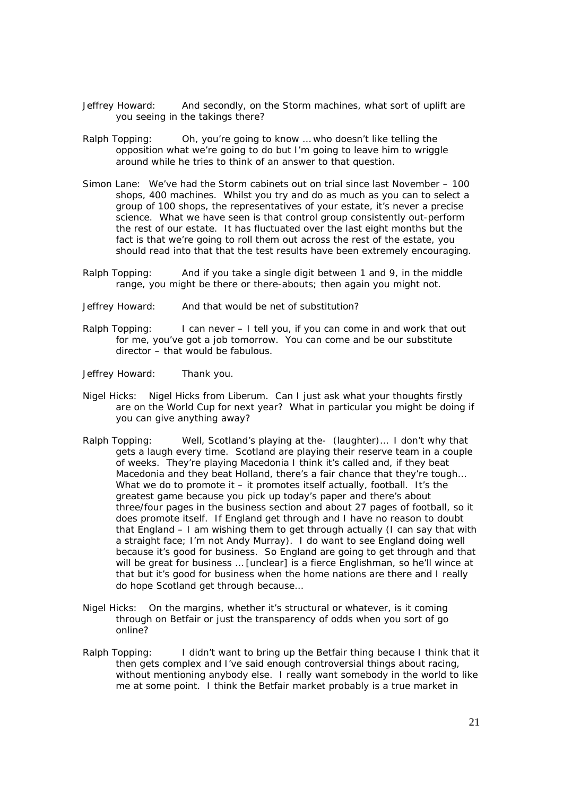- Jeffrey Howard: And secondly, on the Storm machines, what sort of uplift are you seeing in the takings there?
- Ralph Topping: Oh, you're going to know … who doesn't like telling the opposition what we're going to do but I'm going to leave him to wriggle around while he tries to think of an answer to that question.
- Simon Lane: We've had the Storm cabinets out on trial since last November 100 shops, 400 machines. Whilst you try and do as much as you can to select a group of 100 shops, the representatives of your estate, it's never a precise science. What we have seen is that control group consistently out-perform the rest of our estate. It has fluctuated over the last eight months but the fact is that we're going to roll them out across the rest of the estate, you should read into that that the test results have been extremely encouraging.
- Ralph Topping: And if you take a single digit between 1 and 9, in the middle range, you might be there or there-abouts; then again you might not.
- Jeffrey Howard: And that would be net of substitution?
- Ralph Topping: I can never I tell you, if you can come in and work that out for me, you've got a job tomorrow. You can come and be our substitute director – that would be fabulous.
- Jeffrey Howard: Thank you.
- Nigel Hicks: Nigel Hicks from Liberum. Can I just ask what your thoughts firstly are on the World Cup for next year? What in particular you might be doing if you can give anything away?
- Ralph Topping: Well, Scotland's playing at the- *(laughter)…* I don't why that gets a laugh every time. Scotland are playing their reserve team in a couple of weeks. They're playing Macedonia I think it's called and, if they beat Macedonia and they beat Holland, there's a fair chance that they're tough… What we do to promote it  $-$  it promotes itself actually, football. It's the greatest game because you pick up today's paper and there's about three/four pages in the business section and about 27 pages of football, so it does promote itself. If England get through and I have no reason to doubt that England – I am wishing them to get through actually (I can say that with a straight face; I'm not Andy Murray). I do want to see England doing well because it's good for business. So England are going to get through and that will be great for business ... [unclear] is a fierce Englishman, so he'll wince at that but it's good for business when the home nations are there and I really do hope Scotland get through because…
- Nigel Hicks: On the margins, whether it's structural or whatever, is it coming through on Betfair or just the transparency of odds when you sort of go online?
- Ralph Topping: I didn't want to bring up the Betfair thing because I think that it then gets complex and I've said enough controversial things about racing, without mentioning anybody else. I really want somebody in the world to like me at some point. I think the Betfair market probably is a true market in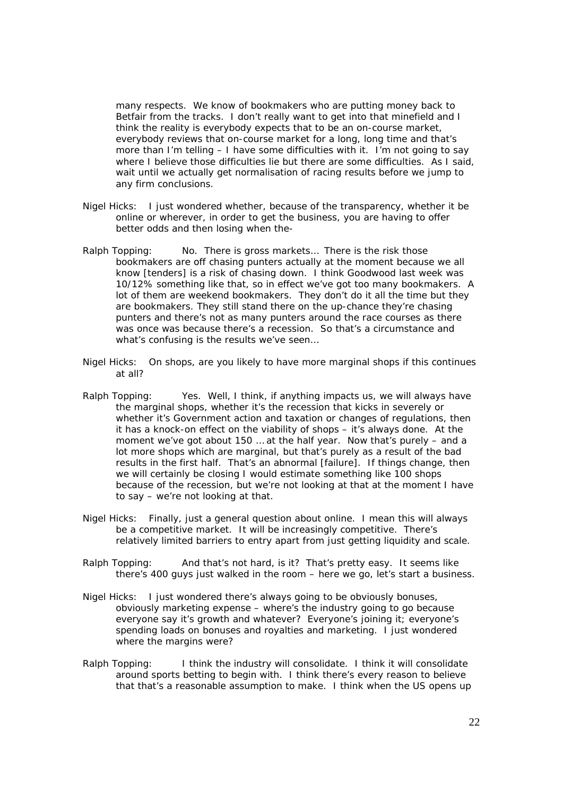many respects. We know of bookmakers who are putting money back to Betfair from the tracks. I don't really want to get into that minefield and I think the reality is everybody expects that to be an on-course market, everybody reviews that on-course market for a long, long time and that's more than I'm telling – I have some difficulties with it. I'm not going to say where I believe those difficulties lie but there are some difficulties. As I said, wait until we actually get normalisation of racing results before we jump to any firm conclusions.

- Nigel Hicks: I just wondered whether, because of the transparency, whether it be online or wherever, in order to get the business, you are having to offer better odds and then losing when the-
- Ralph Topping: No. There is gross markets... There is the risk those bookmakers are off chasing punters actually at the moment because we all know [tenders] is a risk of chasing down. I think Goodwood last week was 10/12% something like that, so in effect we've got too many bookmakers. A lot of them are weekend bookmakers. They don't do it all the time but they are bookmakers. They still stand there on the up-chance they're chasing punters and there's not as many punters around the race courses as there was once was because there's a recession. So that's a circumstance and what's confusing is the results we've seen…
- Nigel Hicks: On shops, are you likely to have more marginal shops if this continues at all?
- Ralph Topping: Yes. Well, I think, if anything impacts us, we will always have the marginal shops, whether it's the recession that kicks in severely or whether it's Government action and taxation or changes of regulations, then it has a knock-on effect on the viability of shops – it's always done. At the moment we've got about 150 … at the half year. Now that's purely – and a lot more shops which are marginal, but that's purely as a result of the bad results in the first half. That's an abnormal [failure]. If things change, then we will certainly be closing I would estimate something like 100 shops because of the recession, but we're not looking at that at the moment I have to say – we're not looking at that.
- Nigel Hicks: Finally, just a general question about online. I mean this will always be a competitive market. It will be increasingly competitive. There's relatively limited barriers to entry apart from just getting liquidity and scale.
- Ralph Topping: And that's not hard, is it? That's pretty easy. It seems like there's 400 guys just walked in the room – here we go, let's start a business.
- Nigel Hicks: I just wondered there's always going to be obviously bonuses, obviously marketing expense – where's the industry going to go because everyone say it's growth and whatever? Everyone's joining it; everyone's spending loads on bonuses and royalties and marketing. I just wondered where the margins were?
- Ralph Topping: I think the industry will consolidate. I think it will consolidate around sports betting to begin with. I think there's every reason to believe that that's a reasonable assumption to make. I think when the US opens up